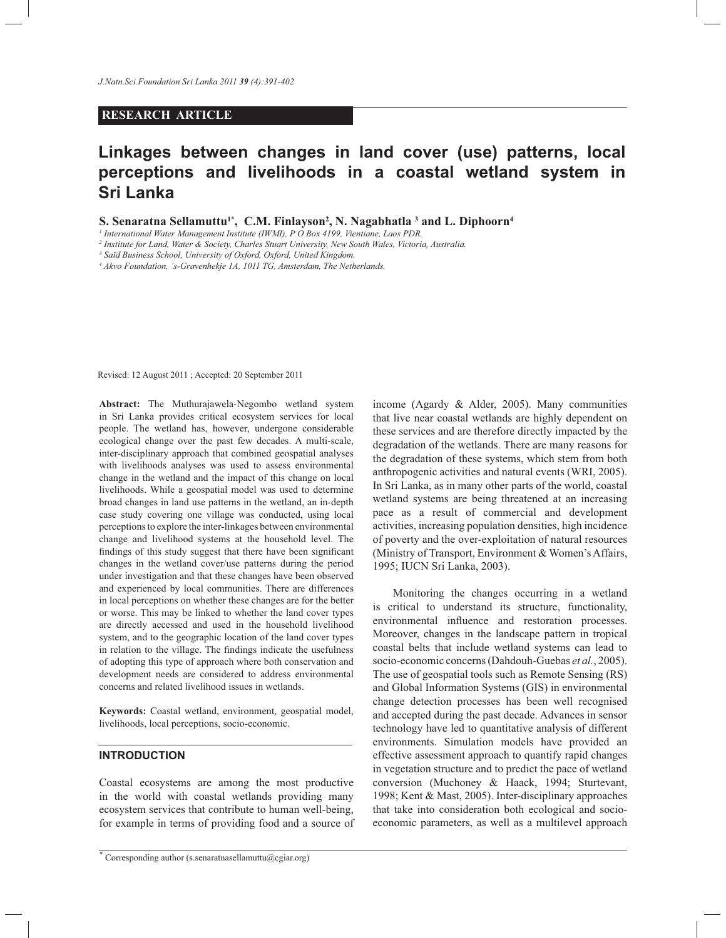# **RESEARCH ARTICLE**

# **Linkages between changes in land cover (use) patterns, local perceptions and livelihoods in a coastal wetland system in Sri Lanka**

**S. Senaratna Sellamuttu<sup>1\*</sup>, C.M. Finlayson<sup>2</sup>, N. Nagabhatla <sup>3</sup> and L. Diphoorn<sup>4</sup>** 

<sup>1</sup> International Water Management Institute (IWMI), P O Box 4199, Vientiane, Laos PDR.

*2 Institute for Land, Water & Society, Charles Stuart University, New South Wales, Victoria, Australia.*

*3 Saïd Business School, University of Oxford, Oxford, United Kingdom.* 

<sup>4</sup> Akvo Foundation, 's-Gravenhekje 1A, 1011 TG, Amsterdam, The Netherlands.

Revised: 12 August 2011 ; Accepted: 20 September 2011

**Abstract:** The Muthurajawela-Negombo wetland system in Sri Lanka provides critical ecosystem services for local people. The wetland has, however, undergone considerable ecological change over the past few decades. A multi-scale, inter-disciplinary approach that combined geospatial analyses with livelihoods analyses was used to assess environmental change in the wetland and the impact of this change on local livelihoods. While a geospatial model was used to determine broad changes in land use patterns in the wetland, an in-depth case study covering one village was conducted, using local perceptions to explore the inter-linkages between environmental change and livelihood systems at the household level. The findings of this study suggest that there have been significant changes in the wetland cover/use patterns during the period under investigation and that these changes have been observed and experienced by local communities. There are differences in local perceptions on whether these changes are for the better or worse. This may be linked to whether the land cover types are directly accessed and used in the household livelihood system, and to the geographic location of the land cover types in relation to the village. The findings indicate the usefulness of adopting this type of approach where both conservation and development needs are considered to address environmental concerns and related livelihood issues in wetlands.

**Keywords:** Coastal wetland, environment, geospatial model, livelihoods, local perceptions, socio-economic.

# **INTRODUCTION**

Coastal ecosystems are among the most productive in the world with coastal wetlands providing many ecosystem services that contribute to human well-being, for example in terms of providing food and a source of

\* Corresponding author (s.senaratnasellamuttu@cgiar.org)

income (Agardy & Alder, 2005). Many communities that live near coastal wetlands are highly dependent on these services and are therefore directly impacted by the degradation of the wetlands. There are many reasons for the degradation of these systems, which stem from both anthropogenic activities and natural events (WRI, 2005). In Sri Lanka, as in many other parts of the world, coastal wetland systems are being threatened at an increasing pace as a result of commercial and development activities, increasing population densities, high incidence of poverty and the over-exploitation of natural resources (Ministry of Transport, Environment & Women's Affairs, 1995; IUCN Sri Lanka, 2003).

 Monitoring the changes occurring in a wetland is critical to understand its structure, functionality, environmental influence and restoration processes. Moreover, changes in the landscape pattern in tropical coastal belts that include wetland systems can lead to socio-economic concerns (Dahdouh-Guebas *et al.*, 2005). The use of geospatial tools such as Remote Sensing (RS) and Global Information Systems (GIS) in environmental change detection processes has been well recognised and accepted during the past decade. Advances in sensor technology have led to quantitative analysis of different environments. Simulation models have provided an effective assessment approach to quantify rapid changes in vegetation structure and to predict the pace of wetland conversion (Muchoney & Haack, 1994; Sturtevant, 1998; Kent & Mast, 2005). Inter-disciplinary approaches that take into consideration both ecological and socioeconomic parameters, as well as a multilevel approach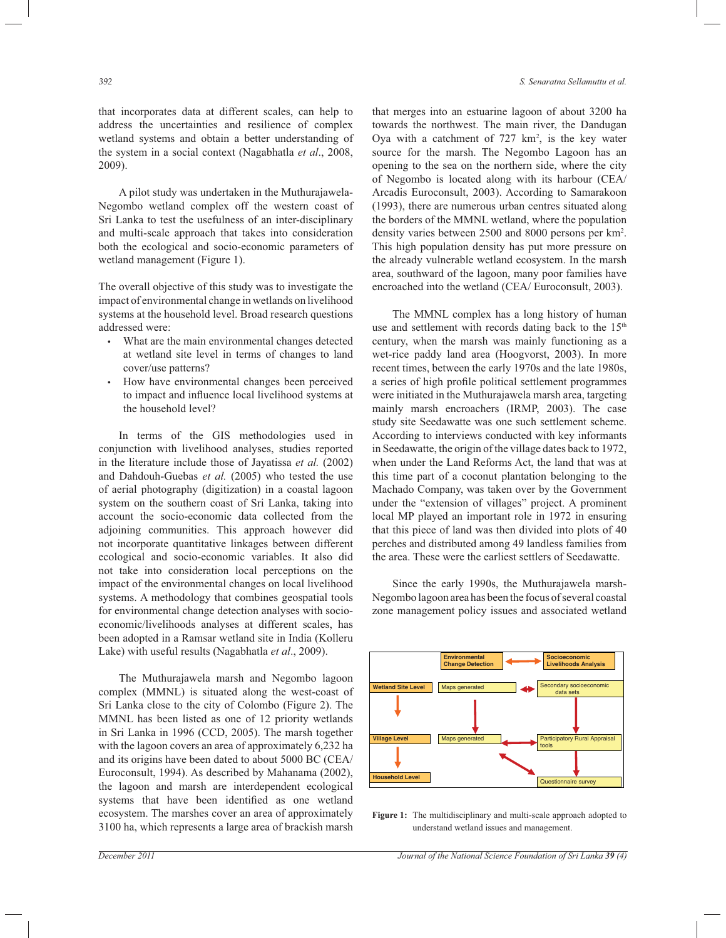that incorporates data at different scales, can help to address the uncertainties and resilience of complex wetland systems and obtain a better understanding of the system in a social context (Nagabhatla *et al*., 2008, 2009).

 A pilot study was undertaken in the Muthurajawela-Negombo wetland complex off the western coast of Sri Lanka to test the usefulness of an inter-disciplinary and multi-scale approach that takes into consideration both the ecological and socio-economic parameters of wetland management (Figure 1).

The overall objective of this study was to investigate the impact of environmental change in wetlands on livelihood systems at the household level. Broad research questions addressed were:

- What are the main environmental changes detected at wetland site level in terms of changes to land cover/use patterns?
- How have environmental changes been perceived to impact and influence local livelihood systems at the household level?

 In terms of the GIS methodologies used in conjunction with livelihood analyses, studies reported in the literature include those of Jayatissa *et al.* (2002) and Dahdouh-Guebas *et al.* (2005) who tested the use of aerial photography (digitization) in a coastal lagoon system on the southern coast of Sri Lanka, taking into account the socio-economic data collected from the adjoining communities. This approach however did not incorporate quantitative linkages between different ecological and socio-economic variables. It also did not take into consideration local perceptions on the impact of the environmental changes on local livelihood systems. A methodology that combines geospatial tools for environmental change detection analyses with socioeconomic/livelihoods analyses at different scales, has been adopted in a Ramsar wetland site in India (Kolleru Lake) with useful results (Nagabhatla *et al*., 2009).

 The Muthurajawela marsh and Negombo lagoon complex (MMNL) is situated along the west-coast of Sri Lanka close to the city of Colombo (Figure 2). The MMNL has been listed as one of 12 priority wetlands in Sri Lanka in 1996 (CCD, 2005). The marsh together with the lagoon covers an area of approximately 6,232 ha and its origins have been dated to about 5000 BC (CEA/ Euroconsult, 1994). As described by Mahanama (2002), the lagoon and marsh are interdependent ecological systems that have been identified as one wetland ecosystem. The marshes cover an area of approximately 3100 ha, which represents a large area of brackish marsh

that merges into an estuarine lagoon of about 3200 ha towards the northwest. The main river, the Dandugan Oya with a catchment of  $727 \text{ km}^2$ , is the key water source for the marsh. The Negombo Lagoon has an opening to the sea on the northern side, where the city of Negombo is located along with its harbour (CEA/ Arcadis Euroconsult, 2003). According to Samarakoon (1993), there are numerous urban centres situated along the borders of the MMNL wetland, where the population density varies between 2500 and 8000 persons per km2 . This high population density has put more pressure on the already vulnerable wetland ecosystem. In the marsh area, southward of the lagoon, many poor families have encroached into the wetland (CEA/ Euroconsult, 2003).

 The MMNL complex has a long history of human use and settlement with records dating back to the  $15<sup>th</sup>$ century, when the marsh was mainly functioning as a wet-rice paddy land area (Hoogvorst, 2003). In more recent times, between the early 1970s and the late 1980s, a series of high profile political settlement programmes were initiated in the Muthurajawela marsh area, targeting mainly marsh encroachers (IRMP, 2003). The case study site Seedawatte was one such settlement scheme. According to interviews conducted with key informants in Seedawatte, the origin of the village dates back to 1972, when under the Land Reforms Act, the land that was at this time part of a coconut plantation belonging to the Machado Company, was taken over by the Government under the "extension of villages" project. A prominent local MP played an important role in 1972 in ensuring that this piece of land was then divided into plots of 40 perches and distributed among 49 landless families from the area. These were the earliest settlers of Seedawatte.

 Since the early 1990s, the Muthurajawela marsh-Negombo lagoon area has been the focus of several coastal zone management policy issues and associated wetland



**Figure 1:** The multidisciplinary and multi-scale approach adopted to understand wetland issues and management.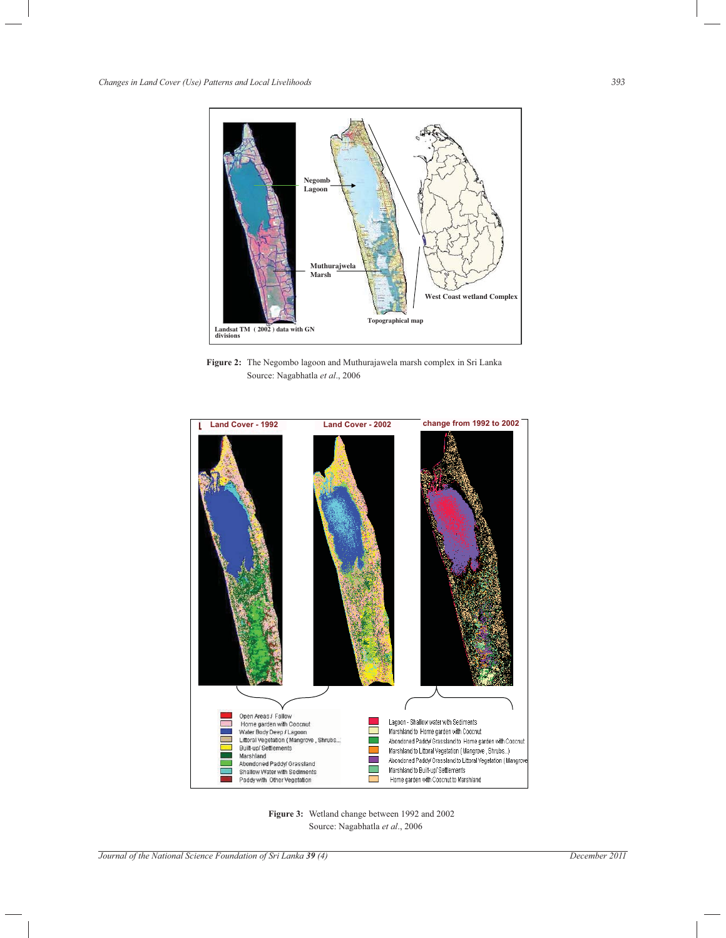

**Figure 2:** The Negombo lagoon and Muthurajawela marsh complex in Sri Lanka Source: Nagabhatla *et al*., 2006



**Figure 3:** Wetland change between 1992 and 2002 Source: Nagabhatla *et al*., 2006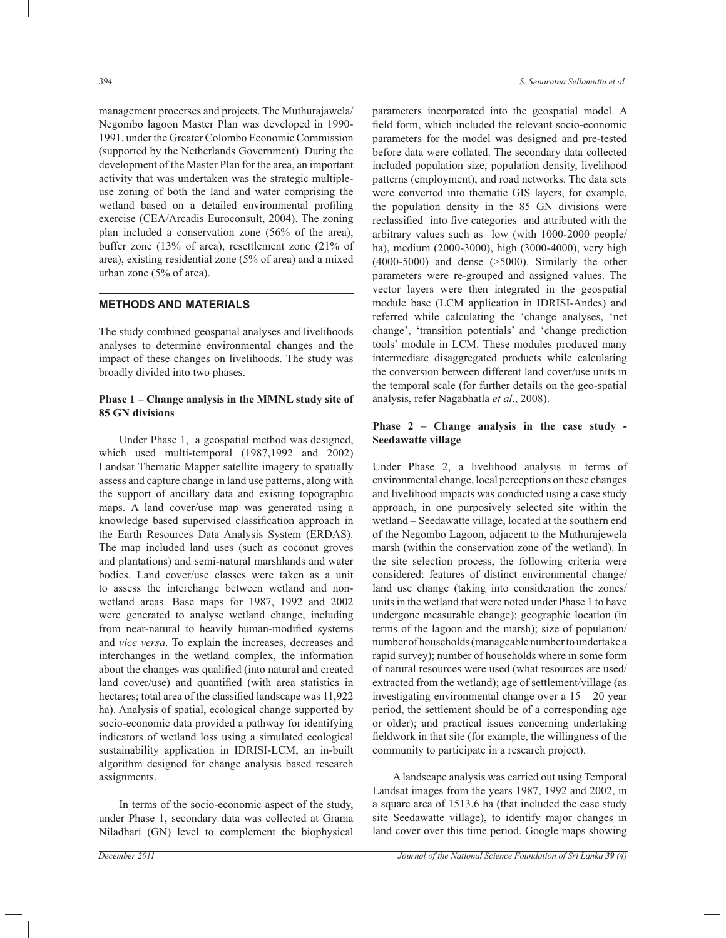management procerses and projects. The Muthurajawela/ Negombo lagoon Master Plan was developed in 1990- 1991, under the Greater Colombo Economic Commission (supported by the Netherlands Government). During the development of the Master Plan for the area, an important activity that was undertaken was the strategic multipleuse zoning of both the land and water comprising the wetland based on a detailed environmental profiling exercise (CEA/Arcadis Euroconsult, 2004). The zoning plan included a conservation zone (56% of the area), buffer zone (13% of area), resettlement zone (21% of area), existing residential zone (5% of area) and a mixed urban zone (5% of area).

## **METHODS AND MATERIALS**

The study combined geospatial analyses and livelihoods analyses to determine environmental changes and the impact of these changes on livelihoods. The study was broadly divided into two phases.

## **Phase 1 – Change analysis in the MMNL study site of 85 GN divisions**

Under Phase 1, a geospatial method was designed, which used multi-temporal (1987,1992 and 2002) Landsat Thematic Mapper satellite imagery to spatially assess and capture change in land use patterns, along with the support of ancillary data and existing topographic maps. A land cover/use map was generated using a knowledge based supervised classification approach in the Earth Resources Data Analysis System (ERDAS). The map included land uses (such as coconut groves and plantations) and semi-natural marshlands and water bodies. Land cover/use classes were taken as a unit to assess the interchange between wetland and nonwetland areas. Base maps for 1987, 1992 and 2002 were generated to analyse wetland change, including from near-natural to heavily human-modified systems and *vice versa*. To explain the increases, decreases and interchanges in the wetland complex, the information about the changes was qualified (into natural and created land cover/use) and quantified (with area statistics in hectares; total area of the classified landscape was 11,922 ha). Analysis of spatial, ecological change supported by socio-economic data provided a pathway for identifying indicators of wetland loss using a simulated ecological sustainability application in IDRISI-LCM, an in-built algorithm designed for change analysis based research assignments.

 In terms of the socio-economic aspect of the study, under Phase 1, secondary data was collected at Grama Niladhari (GN) level to complement the biophysical parameters incorporated into the geospatial model. A field form, which included the relevant socio-economic parameters for the model was designed and pre-tested before data were collated. The secondary data collected included population size, population density, livelihood patterns (employment), and road networks. The data sets were converted into thematic GIS layers, for example, the population density in the 85 GN divisions were reclassified into five categories and attributed with the arbitrary values such as low (with 1000-2000 people/ ha), medium (2000-3000), high (3000-4000), very high (4000-5000) and dense (>5000). Similarly the other parameters were re-grouped and assigned values. The vector layers were then integrated in the geospatial module base (LCM application in IDRISI-Andes) and referred while calculating the 'change analyses, 'net change', 'transition potentials' and 'change prediction tools' module in LCM. These modules produced many intermediate disaggregated products while calculating the conversion between different land cover/use units in the temporal scale (for further details on the geo-spatial analysis, refer Nagabhatla *et al*., 2008).

## **Phase 2 – Change analysis in the case study - Seedawatte village**

Under Phase 2, a livelihood analysis in terms of environmental change, local perceptions on these changes and livelihood impacts was conducted using a case study approach, in one purposively selected site within the wetland – Seedawatte village, located at the southern end of the Negombo Lagoon, adjacent to the Muthurajewela marsh (within the conservation zone of the wetland). In the site selection process, the following criteria were considered: features of distinct environmental change/ land use change (taking into consideration the zones/ units in the wetland that were noted under Phase 1 to have undergone measurable change); geographic location (in terms of the lagoon and the marsh); size of population/ number of households (manageable number to undertake a rapid survey); number of households where in some form of natural resources were used (what resources are used/ extracted from the wetland); age of settlement/village (as investigating environmental change over a  $15 - 20$  year period, the settlement should be of a corresponding age or older); and practical issues concerning undertaking fieldwork in that site (for example, the willingness of the community to participate in a research project).

 A landscape analysis was carried out using Temporal Landsat images from the years 1987, 1992 and 2002, in a square area of 1513.6 ha (that included the case study site Seedawatte village), to identify major changes in land cover over this time period. Google maps showing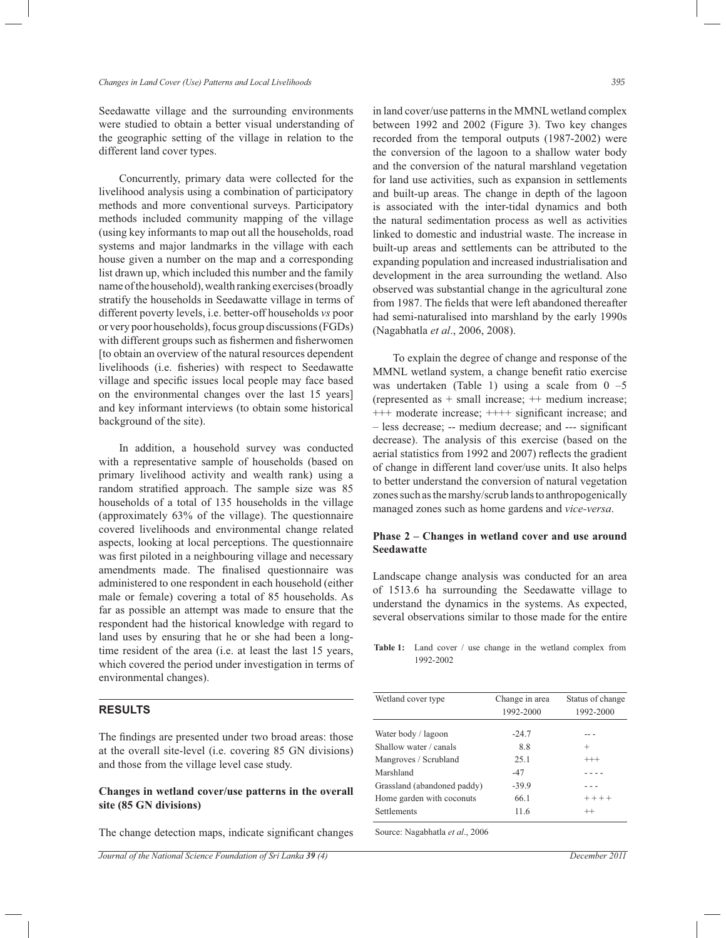Seedawatte village and the surrounding environments were studied to obtain a better visual understanding of the geographic setting of the village in relation to the different land cover types.

 Concurrently, primary data were collected for the livelihood analysis using a combination of participatory methods and more conventional surveys. Participatory methods included community mapping of the village (using key informants to map out all the households, road systems and major landmarks in the village with each house given a number on the map and a corresponding list drawn up, which included this number and the family name of the household), wealth ranking exercises (broadly stratify the households in Seedawatte village in terms of different poverty levels, i.e. better-off households *vs* poor or very poor households), focus group discussions (FGDs) with different groups such as fishermen and fisherwomen [to obtain an overview of the natural resources dependent livelihoods (i.e. fisheries) with respect to Seedawatte village and specific issues local people may face based on the environmental changes over the last 15 years] and key informant interviews (to obtain some historical background of the site).

 In addition, a household survey was conducted with a representative sample of households (based on primary livelihood activity and wealth rank) using a random stratified approach. The sample size was 85 households of a total of 135 households in the village (approximately 63% of the village). The questionnaire covered livelihoods and environmental change related aspects, looking at local perceptions. The questionnaire was first piloted in a neighbouring village and necessary amendments made. The finalised questionnaire was administered to one respondent in each household (either male or female) covering a total of 85 households. As far as possible an attempt was made to ensure that the respondent had the historical knowledge with regard to land uses by ensuring that he or she had been a longtime resident of the area (i.e. at least the last 15 years, which covered the period under investigation in terms of environmental changes).

# **RESULTS**

The findings are presented under two broad areas: those at the overall site-level (i.e. covering 85 GN divisions) and those from the village level case study.

# **Changes in wetland cover/use patterns in the overall site (85 GN divisions)**

The change detection maps, indicate significant changes

in land cover/use patterns in the MMNL wetland complex between 1992 and 2002 (Figure 3). Two key changes recorded from the temporal outputs (1987-2002) were the conversion of the lagoon to a shallow water body and the conversion of the natural marshland vegetation for land use activities, such as expansion in settlements and built-up areas. The change in depth of the lagoon is associated with the inter-tidal dynamics and both the natural sedimentation process as well as activities linked to domestic and industrial waste. The increase in built-up areas and settlements can be attributed to the expanding population and increased industrialisation and development in the area surrounding the wetland. Also observed was substantial change in the agricultural zone from 1987. The fields that were left abandoned thereafter had semi-naturalised into marshland by the early 1990s (Nagabhatla *et al*., 2006, 2008).

 To explain the degree of change and response of the MMNL wetland system, a change benefit ratio exercise was undertaken (Table 1) using a scale from  $0 -5$ (represented as + small increase; ++ medium increase; +++ moderate increase; ++++ significant increase; and – less decrease; -- medium decrease; and --- significant decrease). The analysis of this exercise (based on the aerial statistics from 1992 and 2007) reflects the gradient of change in different land cover/use units. It also helps to better understand the conversion of natural vegetation zones such as the marshy/scrub lands to anthropogenically managed zones such as home gardens and *vice-versa*.

## **Phase 2 – Changes in wetland cover and use around Seedawatte**

Landscape change analysis was conducted for an area of 1513.6 ha surrounding the Seedawatte village to understand the dynamics in the systems. As expected, several observations similar to those made for the entire

**Table 1:** Land cover / use change in the wetland complex from 1992-2002

| Wetland cover type          | Change in area | Status of change |
|-----------------------------|----------------|------------------|
|                             | 1992-2000      | 1992-2000        |
|                             |                |                  |
| Water body / lagoon         | $-24.7$        |                  |
| Shallow water / canals      | 8.8            | $^{+}$           |
| Mangroves / Scrubland       | 25.1           | $^{+++}$         |
| Marshland                   | $-47$          |                  |
| Grassland (abandoned paddy) | $-39.9$        |                  |
| Home garden with coconuts   | 66.1           | $+ + + +$        |
| <b>Settlements</b>          | 11.6           | $^{++}$          |

Source: Nagabhatla *et al*., 2006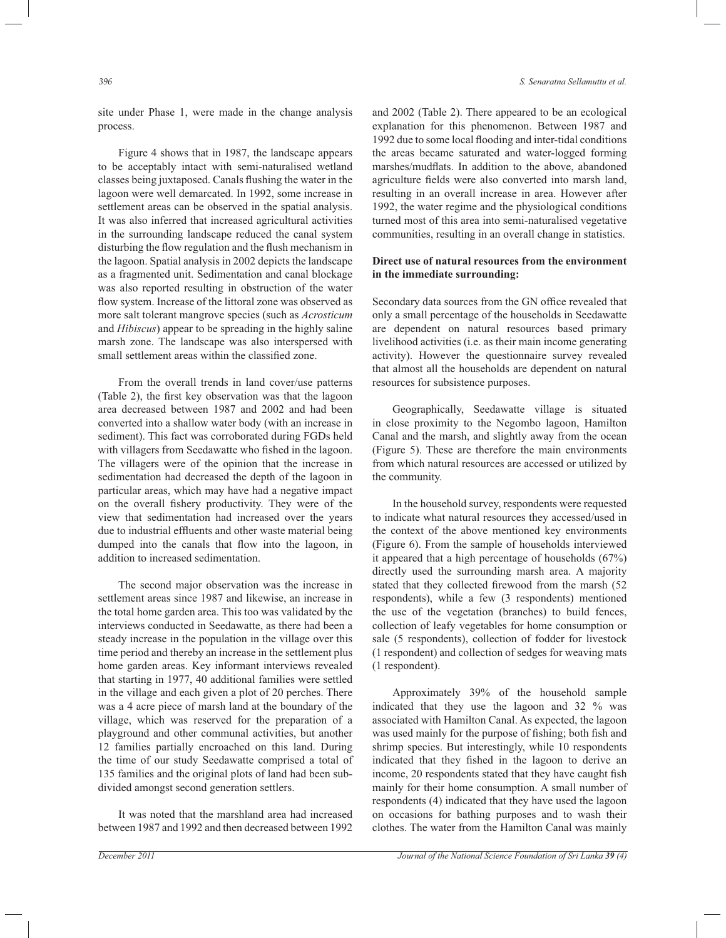site under Phase 1, were made in the change analysis process.

 Figure 4 shows that in 1987, the landscape appears to be acceptably intact with semi-naturalised wetland classes being juxtaposed. Canals flushing the water in the lagoon were well demarcated. In 1992, some increase in settlement areas can be observed in the spatial analysis. It was also inferred that increased agricultural activities in the surrounding landscape reduced the canal system disturbing the flow regulation and the flush mechanism in the lagoon. Spatial analysis in 2002 depicts the landscape as a fragmented unit. Sedimentation and canal blockage was also reported resulting in obstruction of the water flow system. Increase of the littoral zone was observed as more salt tolerant mangrove species (such as *Acrosticum* and *Hibiscus*) appear to be spreading in the highly saline marsh zone. The landscape was also interspersed with small settlement areas within the classified zone.

 From the overall trends in land cover/use patterns (Table 2), the first key observation was that the lagoon area decreased between 1987 and 2002 and had been converted into a shallow water body (with an increase in sediment). This fact was corroborated during FGDs held with villagers from Seedawatte who fished in the lagoon. The villagers were of the opinion that the increase in sedimentation had decreased the depth of the lagoon in particular areas, which may have had a negative impact on the overall fishery productivity. They were of the view that sedimentation had increased over the years due to industrial effluents and other waste material being dumped into the canals that flow into the lagoon, in addition to increased sedimentation.

 The second major observation was the increase in settlement areas since 1987 and likewise, an increase in the total home garden area. This too was validated by the interviews conducted in Seedawatte, as there had been a steady increase in the population in the village over this time period and thereby an increase in the settlement plus home garden areas. Key informant interviews revealed that starting in 1977, 40 additional families were settled in the village and each given a plot of 20 perches. There was a 4 acre piece of marsh land at the boundary of the village, which was reserved for the preparation of a playground and other communal activities, but another 12 families partially encroached on this land. During the time of our study Seedawatte comprised a total of 135 families and the original plots of land had been subdivided amongst second generation settlers.

 It was noted that the marshland area had increased between 1987 and 1992 and then decreased between 1992 and 2002 (Table 2). There appeared to be an ecological explanation for this phenomenon. Between 1987 and 1992 due to some local flooding and inter-tidal conditions the areas became saturated and water-logged forming marshes/mudflats. In addition to the above, abandoned agriculture fields were also converted into marsh land, resulting in an overall increase in area. However after 1992, the water regime and the physiological conditions turned most of this area into semi-naturalised vegetative communities, resulting in an overall change in statistics.

# **Direct use of natural resources from the environment in the immediate surrounding:**

Secondary data sources from the GN office revealed that only a small percentage of the households in Seedawatte are dependent on natural resources based primary livelihood activities (i.e. as their main income generating activity). However the questionnaire survey revealed that almost all the households are dependent on natural resources for subsistence purposes.

 Geographically, Seedawatte village is situated in close proximity to the Negombo lagoon, Hamilton Canal and the marsh, and slightly away from the ocean (Figure 5). These are therefore the main environments from which natural resources are accessed or utilized by the community.

 In the household survey, respondents were requested to indicate what natural resources they accessed/used in the context of the above mentioned key environments (Figure 6). From the sample of households interviewed it appeared that a high percentage of households (67%) directly used the surrounding marsh area. A majority stated that they collected firewood from the marsh (52 respondents), while a few (3 respondents) mentioned the use of the vegetation (branches) to build fences, collection of leafy vegetables for home consumption or sale (5 respondents), collection of fodder for livestock (1 respondent) and collection of sedges for weaving mats (1 respondent).

 Approximately 39% of the household sample indicated that they use the lagoon and 32 % was associated with Hamilton Canal. As expected, the lagoon was used mainly for the purpose of fishing; both fish and shrimp species. But interestingly, while 10 respondents indicated that they fished in the lagoon to derive an income, 20 respondents stated that they have caught fish mainly for their home consumption. A small number of respondents (4) indicated that they have used the lagoon on occasions for bathing purposes and to wash their clothes. The water from the Hamilton Canal was mainly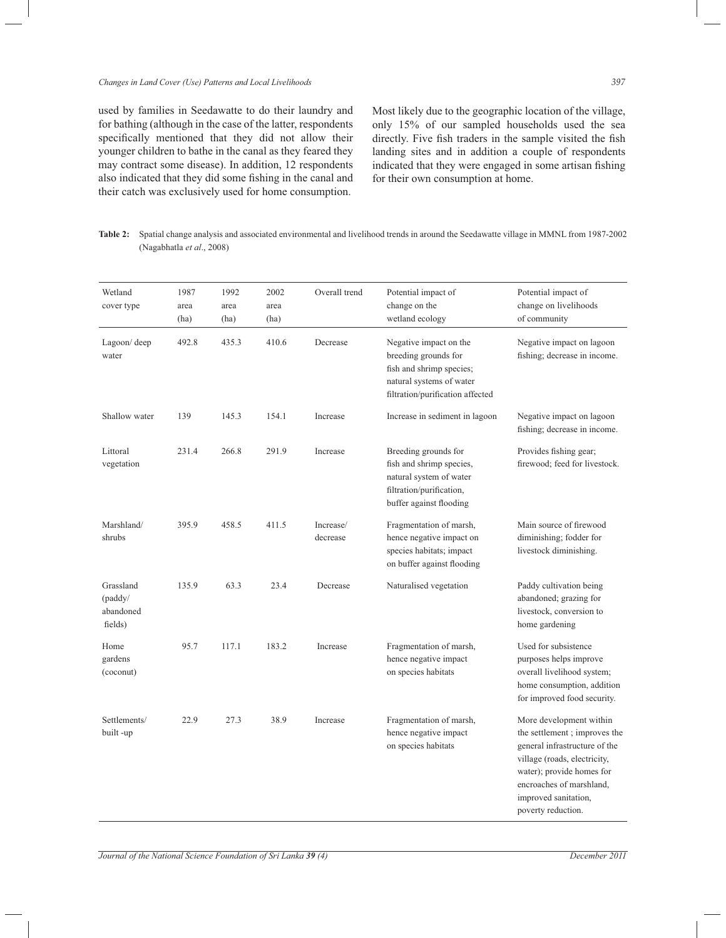## *Changes in Land Cover (Use) Patterns and Local Livelihoods 397*

used by families in Seedawatte to do their laundry and for bathing (although in the case of the latter, respondents specifically mentioned that they did not allow their younger children to bathe in the canal as they feared they may contract some disease). In addition, 12 respondents also indicated that they did some fishing in the canal and their catch was exclusively used for home consumption.

Most likely due to the geographic location of the village, only 15% of our sampled households used the sea directly. Five fish traders in the sample visited the fish landing sites and in addition a couple of respondents indicated that they were engaged in some artisan fishing for their own consumption at home.

**Table 2:** Spatial change analysis and associated environmental and livelihood trends in around the Seedawatte village in MMNL from 1987-2002 (Nagabhatla *et al*., 2008)

| Wetland<br>cover type                        | 1987<br>area<br>(ha) | 1992<br>area<br>(ha) | 2002<br>area<br>(ha) | Overall trend         | Potential impact of<br>change on the<br>wetland ecology                                                                                    | Potential impact of<br>change on livelihoods<br>of community                                                                                                                                                                    |
|----------------------------------------------|----------------------|----------------------|----------------------|-----------------------|--------------------------------------------------------------------------------------------------------------------------------------------|---------------------------------------------------------------------------------------------------------------------------------------------------------------------------------------------------------------------------------|
| Lagoon/ deep<br>water                        | 492.8                | 435.3                | 410.6                | Decrease              | Negative impact on the<br>breeding grounds for<br>fish and shrimp species;<br>natural systems of water<br>filtration/purification affected | Negative impact on lagoon<br>fishing; decrease in income.                                                                                                                                                                       |
| Shallow water                                | 139                  | 145.3                | 154.1                | Increase              | Increase in sediment in lagoon                                                                                                             | Negative impact on lagoon<br>fishing; decrease in income.                                                                                                                                                                       |
| Littoral<br>vegetation                       | 231.4                | 266.8                | 291.9                | Increase              | Breeding grounds for<br>fish and shrimp species,<br>natural system of water<br>filtration/purification,<br>buffer against flooding         | Provides fishing gear;<br>firewood; feed for livestock.                                                                                                                                                                         |
| Marshland/<br>shrubs                         | 395.9                | 458.5                | 411.5                | Increase/<br>decrease | Fragmentation of marsh,<br>hence negative impact on<br>species habitats; impact<br>on buffer against flooding                              | Main source of firewood<br>diminishing; fodder for<br>livestock diminishing.                                                                                                                                                    |
| Grassland<br>(paddy/<br>abandoned<br>fields) | 135.9                | 63.3                 | 23.4                 | Decrease              | Naturalised vegetation                                                                                                                     | Paddy cultivation being<br>abandoned; grazing for<br>livestock, conversion to<br>home gardening                                                                                                                                 |
| Home<br>gardens<br>(coconut)                 | 95.7                 | 117.1                | 183.2                | Increase              | Fragmentation of marsh,<br>hence negative impact<br>on species habitats                                                                    | Used for subsistence<br>purposes helps improve<br>overall livelihood system;<br>home consumption, addition<br>for improved food security.                                                                                       |
| Settlements/<br>built-up                     | 22.9                 | 27.3                 | 38.9                 | Increase              | Fragmentation of marsh,<br>hence negative impact<br>on species habitats                                                                    | More development within<br>the settlement; improves the<br>general infrastructure of the<br>village (roads, electricity,<br>water); provide homes for<br>encroaches of marshland,<br>improved sanitation,<br>poverty reduction. |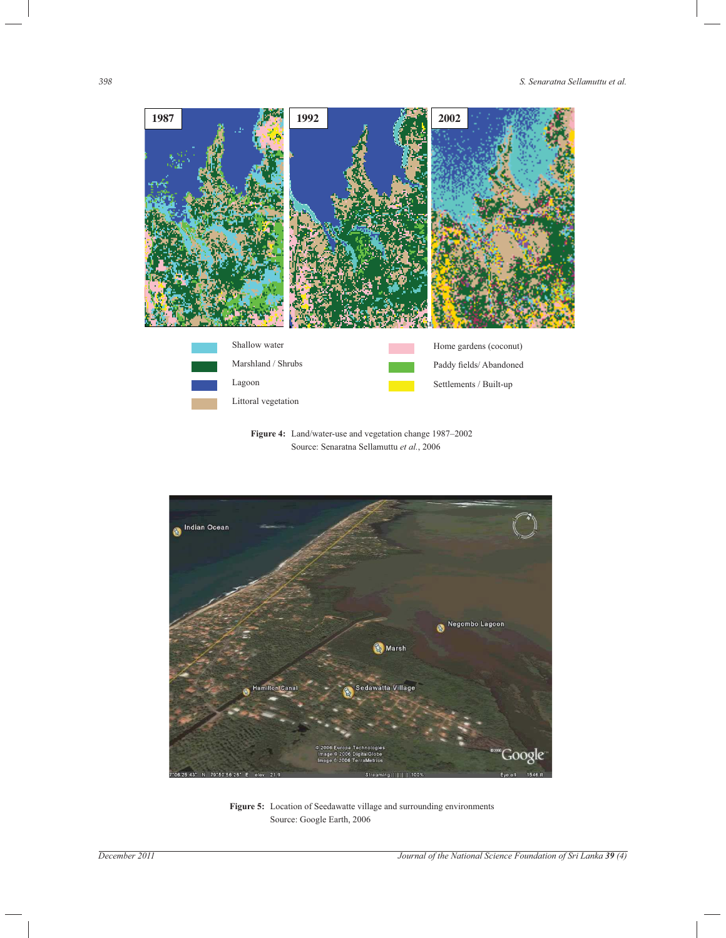

**Figure 4:** Land/water-use and vegetation change 1987–2002 Source: Senaratna Sellamuttu *et al.*, 2006



**Figure 5:** Location of Seedawatte village and surrounding environments Source: Google Earth, 2006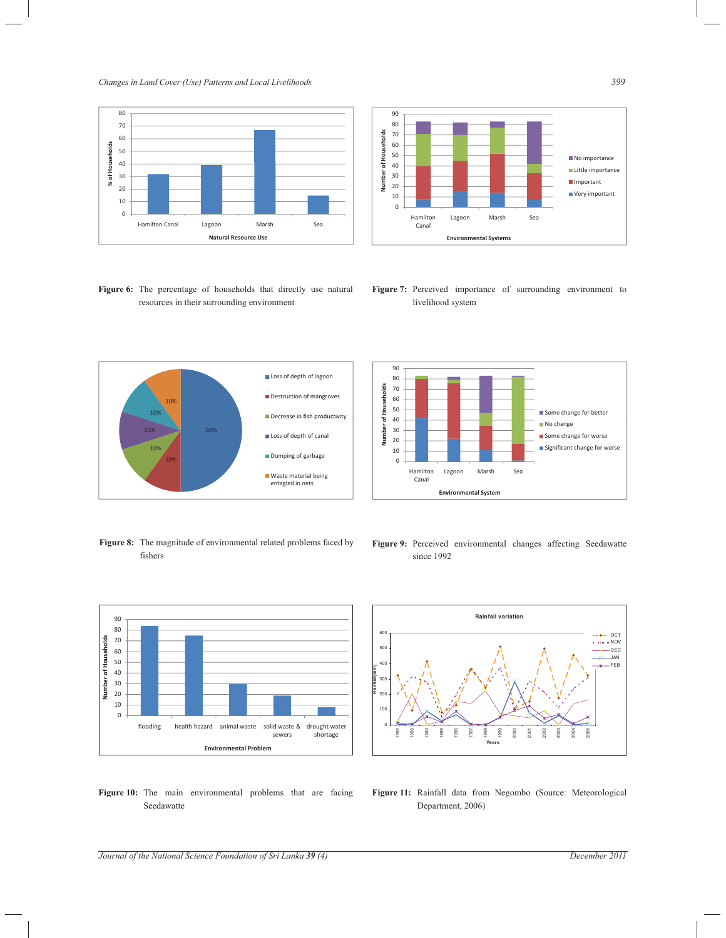*Changes in Land Cover (Use) Patterns and Local Livelihoods 399*



**Figure 6:** The percentage of households that directly use natural resources in their surrounding environment



**Figure 7:** Perceived importance of surrounding environment to livelihood system



**Figure 8:** The magnitude of environmental related problems faced by fishers



**Figure 9:** Perceived environmental changes affecting Seedawatte since 1992



**Rainfall variation**  100 200 300 400 50 600 **Rainfall(mm)** OCT  $-$  NOV DEC JAN FEB

0

1992 1993 1994 1995 1996 1997 1998 1999 2000 2001 2002 2003 2004 2005

- **Figure 10:** The main environmental problems that are facing Seedawatte
- **Figure 11:** Rainfall data from Negombo (Source: Meteorological Department, 2006)

**Years**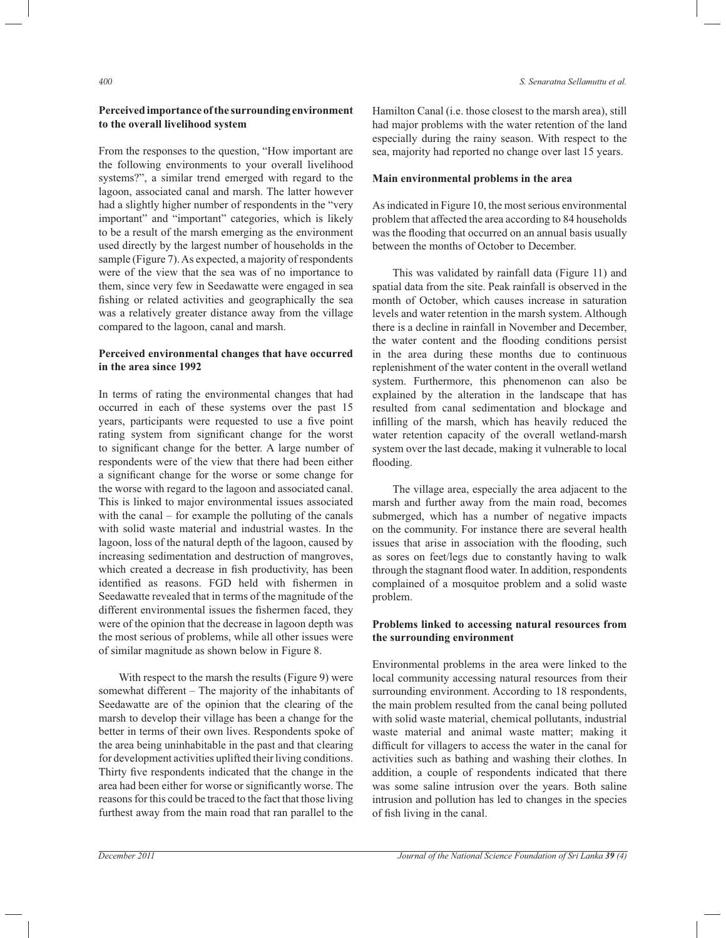# **Perceived importance of the surrounding environment to the overall livelihood system**

From the responses to the question, "How important are the following environments to your overall livelihood systems?", a similar trend emerged with regard to the lagoon, associated canal and marsh. The latter however had a slightly higher number of respondents in the "very important" and "important" categories, which is likely to be a result of the marsh emerging as the environment used directly by the largest number of households in the sample (Figure 7). As expected, a majority of respondents were of the view that the sea was of no importance to them, since very few in Seedawatte were engaged in sea fishing or related activities and geographically the sea was a relatively greater distance away from the village compared to the lagoon, canal and marsh.

## **Perceived environmental changes that have occurred in the area since 1992**

In terms of rating the environmental changes that had occurred in each of these systems over the past 15 years, participants were requested to use a five point rating system from significant change for the worst to significant change for the better. A large number of respondents were of the view that there had been either a significant change for the worse or some change for the worse with regard to the lagoon and associated canal. This is linked to major environmental issues associated with the canal – for example the polluting of the canals with solid waste material and industrial wastes. In the lagoon, loss of the natural depth of the lagoon, caused by increasing sedimentation and destruction of mangroves, which created a decrease in fish productivity, has been identified as reasons. FGD held with fishermen in Seedawatte revealed that in terms of the magnitude of the different environmental issues the fishermen faced, they were of the opinion that the decrease in lagoon depth was the most serious of problems, while all other issues were of similar magnitude as shown below in Figure 8.

 With respect to the marsh the results (Figure 9) were somewhat different – The majority of the inhabitants of Seedawatte are of the opinion that the clearing of the marsh to develop their village has been a change for the better in terms of their own lives. Respondents spoke of the area being uninhabitable in the past and that clearing for development activities uplifted their living conditions. Thirty five respondents indicated that the change in the area had been either for worse or significantly worse. The reasons for this could be traced to the fact that those living furthest away from the main road that ran parallel to the

Hamilton Canal (i.e. those closest to the marsh area), still had major problems with the water retention of the land especially during the rainy season. With respect to the sea, majority had reported no change over last 15 years.

#### **Main environmental problems in the area**

As indicated in Figure 10, the most serious environmental problem that affected the area according to 84 households was the flooding that occurred on an annual basis usually between the months of October to December.

 This was validated by rainfall data (Figure 11) and spatial data from the site. Peak rainfall is observed in the month of October, which causes increase in saturation levels and water retention in the marsh system. Although there is a decline in rainfall in November and December, the water content and the flooding conditions persist in the area during these months due to continuous replenishment of the water content in the overall wetland system. Furthermore, this phenomenon can also be explained by the alteration in the landscape that has resulted from canal sedimentation and blockage and infilling of the marsh, which has heavily reduced the water retention capacity of the overall wetland-marsh system over the last decade, making it vulnerable to local flooding.

 The village area, especially the area adjacent to the marsh and further away from the main road, becomes submerged, which has a number of negative impacts on the community. For instance there are several health issues that arise in association with the flooding, such as sores on feet/legs due to constantly having to walk through the stagnant flood water. In addition, respondents complained of a mosquitoe problem and a solid waste problem.

## **Problems linked to accessing natural resources from the surrounding environment**

Environmental problems in the area were linked to the local community accessing natural resources from their surrounding environment. According to 18 respondents, the main problem resulted from the canal being polluted with solid waste material, chemical pollutants, industrial waste material and animal waste matter; making it difficult for villagers to access the water in the canal for activities such as bathing and washing their clothes. In addition, a couple of respondents indicated that there was some saline intrusion over the years. Both saline intrusion and pollution has led to changes in the species of fish living in the canal.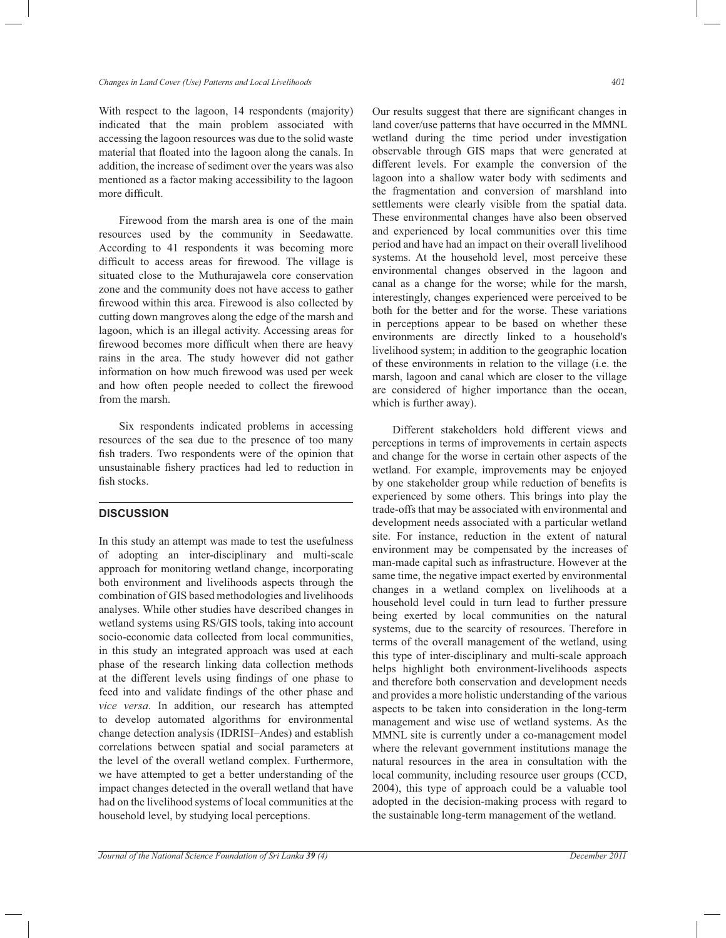With respect to the lagoon, 14 respondents (majority) indicated that the main problem associated with accessing the lagoon resources was due to the solid waste material that floated into the lagoon along the canals. In addition, the increase of sediment over the years was also mentioned as a factor making accessibility to the lagoon more difficult.

 Firewood from the marsh area is one of the main resources used by the community in Seedawatte. According to 41 respondents it was becoming more difficult to access areas for firewood. The village is situated close to the Muthurajawela core conservation zone and the community does not have access to gather firewood within this area. Firewood is also collected by cutting down mangroves along the edge of the marsh and lagoon, which is an illegal activity. Accessing areas for firewood becomes more difficult when there are heavy rains in the area. The study however did not gather information on how much firewood was used per week and how often people needed to collect the firewood from the marsh.

 Six respondents indicated problems in accessing resources of the sea due to the presence of too many fish traders. Two respondents were of the opinion that unsustainable fishery practices had led to reduction in fish stocks.

# **DISCUSSION**

In this study an attempt was made to test the usefulness of adopting an inter-disciplinary and multi-scale approach for monitoring wetland change, incorporating both environment and livelihoods aspects through the combination of GIS based methodologies and livelihoods analyses. While other studies have described changes in wetland systems using RS/GIS tools, taking into account socio-economic data collected from local communities, in this study an integrated approach was used at each phase of the research linking data collection methods at the different levels using findings of one phase to feed into and validate findings of the other phase and *vice versa*. In addition, our research has attempted to develop automated algorithms for environmental change detection analysis (IDRISI–Andes) and establish correlations between spatial and social parameters at the level of the overall wetland complex. Furthermore, we have attempted to get a better understanding of the impact changes detected in the overall wetland that have had on the livelihood systems of local communities at the household level, by studying local perceptions.

Our results suggest that there are significant changes in land cover/use patterns that have occurred in the MMNL wetland during the time period under investigation observable through GIS maps that were generated at different levels. For example the conversion of the lagoon into a shallow water body with sediments and the fragmentation and conversion of marshland into settlements were clearly visible from the spatial data. These environmental changes have also been observed and experienced by local communities over this time period and have had an impact on their overall livelihood systems. At the household level, most perceive these environmental changes observed in the lagoon and canal as a change for the worse; while for the marsh, interestingly, changes experienced were perceived to be both for the better and for the worse. These variations in perceptions appear to be based on whether these environments are directly linked to a household's livelihood system; in addition to the geographic location of these environments in relation to the village (i.e. the marsh, lagoon and canal which are closer to the village are considered of higher importance than the ocean, which is further away).

 Different stakeholders hold different views and perceptions in terms of improvements in certain aspects and change for the worse in certain other aspects of the wetland. For example, improvements may be enjoyed by one stakeholder group while reduction of benefits is experienced by some others. This brings into play the trade-offs that may be associated with environmental and development needs associated with a particular wetland site. For instance, reduction in the extent of natural environment may be compensated by the increases of man-made capital such as infrastructure. However at the same time, the negative impact exerted by environmental changes in a wetland complex on livelihoods at a household level could in turn lead to further pressure being exerted by local communities on the natural systems, due to the scarcity of resources. Therefore in terms of the overall management of the wetland, using this type of inter-disciplinary and multi-scale approach helps highlight both environment-livelihoods aspects and therefore both conservation and development needs and provides a more holistic understanding of the various aspects to be taken into consideration in the long-term management and wise use of wetland systems. As the MMNL site is currently under a co-management model where the relevant government institutions manage the natural resources in the area in consultation with the local community, including resource user groups (CCD, 2004), this type of approach could be a valuable tool adopted in the decision-making process with regard to the sustainable long-term management of the wetland.